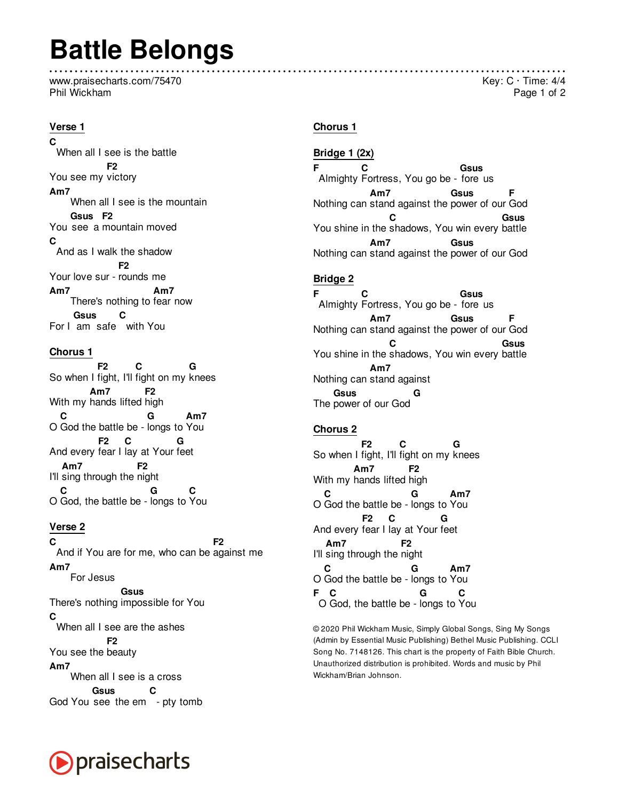# **Battle Belongs**

www.praisecharts.com/75470 Phil Wickham

### Verse 1

 $\mathbf c$ When all I see is the battle F<sub>2</sub> You see my victory  $Am7$ When all I see is the mountain Gsus F<sub>2</sub> You see a mountain moved  $\mathbf C$ And as I walk the shadow **F2** Your love sur - rounds me  $Am7$  $Am7$ There's nothing to fear now Gsus C For I am safe with You

### **Chorus 1**

 $F<sub>2</sub>$  $\mathbf{C}$ G So when I fight, I'll fight on my knees  $Am7$ F<sub>2</sub> With my hands lifted high C G  $Am7$ O God the battle be - longs to You  $F<sub>2</sub>$  $\mathbf{C}$ And every fear I lay at Your feet Am7 I'll sing through the night  $\mathbf c$ G O God, the battle be - longs to You

### Verse<sub>2</sub>

 $\mathbf C$  $F<sub>2</sub>$ And if You are for me, who can be against me Am7 For Jesus **Gsus** There's nothing impossible for You  $\mathbf{C}$ When all I see are the ashes F<sub>2</sub> You see the beauty  $Am7$ When all I see is a cross Gsus  $\mathbf c$ God You see the em - pty tomb

### **Chorus 1**

Bridge 1 (2x) Ė  $\mathbf c$ **Gsus** Almighty Fortress, You go be - fore us  $Am7$ **Gsus** Nothing can stand against the power of our God C **Gsus** You shine in the shadows, You win every battle  $Am7$ Gsus Nothing can stand against the power of our God

### **Bridge 2**

F  $\mathbf c$ **Gsus** Almighty Fortress, You go be - fore us **Gsus**  $Am7$ Е Nothing can stand against the power of our God C **Gsus** You shine in the shadows, You win every battle  $Am7$ Nothing can stand against GSUS The power of our God

#### **Chorus 2**

 $F2$ C So when I fight, I'll fight on my knees Am7 F<sub>2</sub> With my hands lifted high  $\mathbf c$  $Am7$ G O God the battle be - longs to You F<sub>2</sub> C G And every fear I lay at Your feet  $Am7$ F<sub>2</sub> I'll sing through the night Am7 C G O God the battle be - longs to You  $F$   $C$ G  $\mathbf c$ O God, the battle be - longs to You

@ 2020 Phil Wickham Music, Simply Global Songs, Sing My Songs (Admin by Essential Music Publishing) Bethel Music Publishing. CCLI Song No. 7148126. This chart is the property of Faith Bible Church. Unauthorized distribution is prohibited. Words and music by Phil Wickham/Brian Johnson.



### Key:  $C \cdot$  Time: 4/4 Page 1 of 2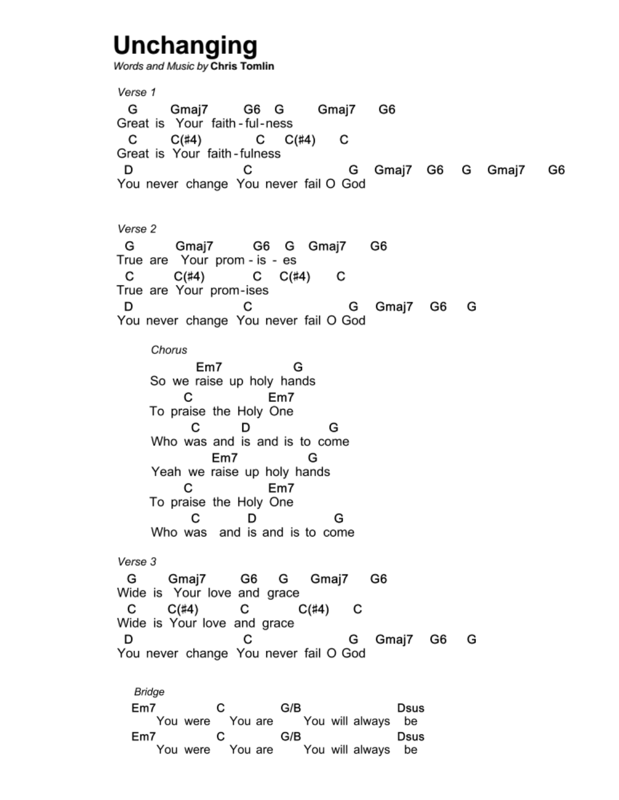# **Unchanging**

Words and Music by Chris Tomlin

Verse 1 G Gmai7 G6 G Gmaj7 G6 Great is Your faith-ful-ness C  $C(\#4)$  C  $C(\#4)$  C Great is Your faith-fulness G Gmaj7 G6 G Gmaj7 G6 D C You never change You never fail O God Verse 2 G Gmaj7 G6 G Gmaj7 G6 True are Your prom - is - es C  $C(\#4)$  C  $C(\#4)$  C  $C$   $C$   $C(1+T)$ <br>True are Your prom-ises<br>C G Gmaj7 G6 G You never change You never fail O God Chorus Em7 G So we raise up holy hands C<sub>Em7</sub> To praise the Holy One  $C$  D G Who was and is and is to come Em7 G Yeah we raise up holy hands C<sub>Em7</sub> To praise the Holy One C D G Who was and is and is to come Verse 3 G Gmaj7 G6 G Gmaj7 G6 Wide is Your love and grace  $C = C(\#4)$  C  $C($ #4)  $C$ You never change You never fail O God Bridge Em7 C G/B Dsus<br>You were You are You will always be **Dsus**  $Em7$ C G/B Dsus

You were You are You will always be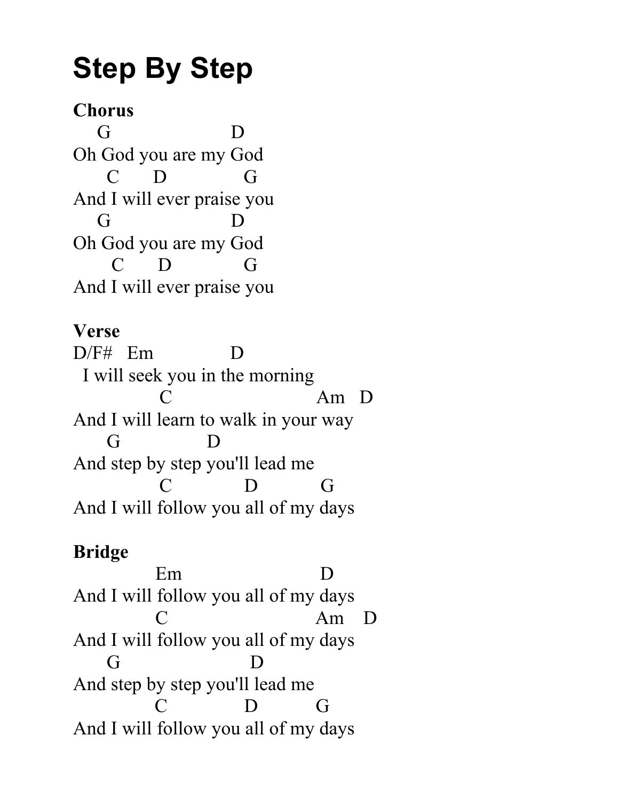# **Step By Step**

## **Chorus**

 G D Oh God you are my God C D G And I will ever praise you G D Oh God you are my God C D G And I will ever praise you

### **Verse**

D/F# Em D I will seek you in the morning C Am D And I will learn to walk in your way G D And step by step you'll lead me C D G And I will follow you all of my days

# **Bridge**

 Em D And I will follow you all of my days C Am D And I will follow you all of my days G D And step by step you'll lead me C D G And I will follow you all of my days